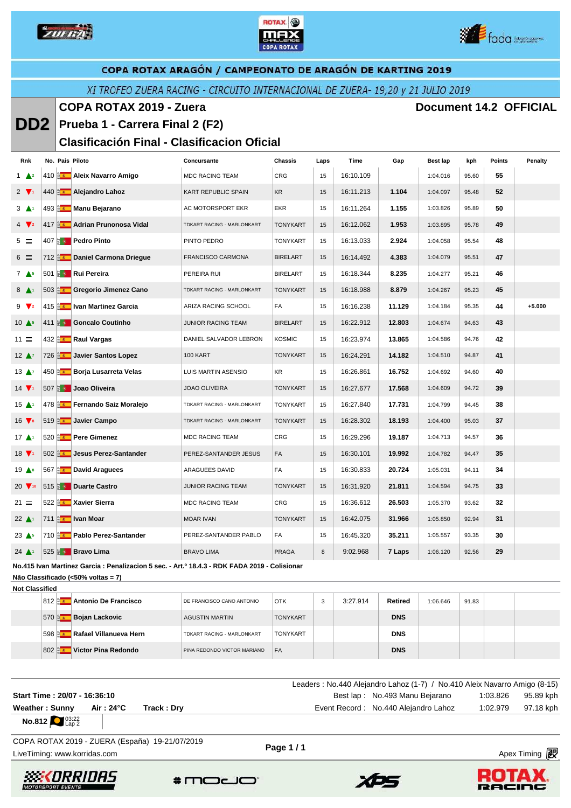





#### XI TROFEO ZUERA RACING - CIRCUITO INTERNACIONAL DE ZUERA- 19,20 y 21 JULIO 2019

**COPA ROTAX 2019 - Zuera Document 14.2 OFFICIAL** 

#### **DD2 Prueba 1 - Carrera Final 2 (F2)**

#### **Clasificación Final - Clasificacion Oficial**

| Rnk                           |  | No. Pais Piloto                                | Concursante                | Chassis         | Laps | Time      | Gap    | Best lap | kph   | Points | <b>Penalty</b> |
|-------------------------------|--|------------------------------------------------|----------------------------|-----------------|------|-----------|--------|----------|-------|--------|----------------|
| $1 \triangle 2$               |  | 410 <b>Aleix Navarro Amigo</b>                 | <b>MDC RACING TEAM</b>     | CRG             | 15   | 16:10.109 |        | 1:04.016 | 95.60 | 55     |                |
| $2 \sqrt{1}$                  |  | 440 a. Alejandro Lahoz                         | KART REPUBLIC SPAIN        | KR              | 15   | 16:11.213 | 1.104  | 1:04.097 | 95.48 | 52     |                |
| $3 \triangle 1$               |  | 493 <b>a.</b> Manu Bejarano                    | AC MOTORSPORT EKR          | <b>EKR</b>      | 15   | 16:11.264 | 1.155  | 1:03.826 | 95.89 | 50     |                |
| $4 \sqrt{2}$                  |  | 417 <b>Adrian Prunonosa Vidal</b>              | TDKART RACING - MARLONKART | <b>TONYKART</b> | 15   | 16:12.062 | 1.953  | 1:03.895 | 95.78 | 49     |                |
| $5 =$                         |  | 407 <b>a</b> Pedro Pinto                       | PINTO PEDRO                | <b>TONYKART</b> | 15   | 16:13.033 | 2.924  | 1:04.058 | 95.54 | 48     |                |
| $6 =$                         |  | 712 <b>Brand Daniel Carmona Driegue</b>        | <b>FRANCISCO CARMONA</b>   | <b>BIRELART</b> | 15   | 16:14.492 | 4.383  | 1:04.079 | 95.51 | 47     |                |
| $7 \triangle 5$               |  | 501 <b>ED</b> Rui Pereira                      | PEREIRA RUI                | <b>BIRELART</b> | 15   | 16:18.344 | 8.235  | 1:04.277 | 95.21 | 46     |                |
| $8 \triangle 1$               |  | 503 a Gregorio Jimenez Cano                    | TDKART RACING - MARLONKART | <b>TONYKART</b> | 15   | 16:18.988 | 8.879  | 1:04.267 | 95.23 | 45     |                |
| $9 \sqrt{2}$                  |  | 415 <b>a Van Martinez Garcia</b>               | ARIZA RACING SCHOOL        | FA              | 15   | 16:16.238 | 11.129 | 1:04.184 | 95.35 | 44     | $+5.000$       |
| $10 \triangle 5$              |  | 411 Goncalo Coutinho                           | <b>JUNIOR RACING TEAM</b>  | <b>BIRELART</b> | 15   | 16:22.912 | 12.803 | 1:04.674 | 94.63 | 43     |                |
| $11 =$                        |  | 432 <b>Az Raul Vargas</b>                      | DANIEL SALVADOR LEBRON     | <b>KOSMIC</b>   | 15   | 16:23.974 | 13.865 | 1:04.586 | 94.76 | 42     |                |
| $12 \Delta$                   |  | 726 <b>Javier Santos Lopez</b>                 | 100 KART                   | <b>TONYKART</b> | 15   | 16:24.291 | 14.182 | 1:04.510 | 94.87 | 41     |                |
| $13 \Delta$                   |  | 450 <b>Borja Lusarreta Velas</b>               | LUIS MARTIN ASENSIO        | KR              | 15   | 16:26.861 | 16.752 | 1:04.692 | 94.60 | 40     |                |
| 14 $\nabla$                   |  | 507 <b>a</b> Joao Oliveira                     | <b>JOAO OLIVEIRA</b>       | <b>TONYKART</b> | 15   | 16:27.677 | 17.568 | 1:04.609 | 94.72 | 39     |                |
| $15 \triangle$                |  | 478 <b>Premando Saiz Moralejo</b>              | TDKART RACING - MARLONKART | <b>TONYKART</b> | 15   | 16:27.840 | 17.731 | 1:04.799 | 94.45 | 38     |                |
| $16 \sqrt{s}$                 |  | 519 avier Campo                                | TDKART RACING - MARLONKART | <b>TONYKART</b> | 15   | 16:28.302 | 18.193 | 1:04.400 | 95.03 | 37     |                |
| 17 <sup>41</sup>              |  | 520 <b>Az Pere Gimenez</b>                     | <b>MDC RACING TEAM</b>     | <b>CRG</b>      | 15   | 16:29.296 | 19.187 | 1:04.713 | 94.57 | 36     |                |
| $18 \sqrt{1}$                 |  | 502 Jesus Perez-Santander                      | PEREZ-SANTANDER JESUS      | FA              | 15   | 16:30.101 | 19.992 | 1:04.782 | 94.47 | 35     |                |
| $19$ $\triangle$ <sup>8</sup> |  | 567 <b>az David Araguees</b>                   | ARAGUEES DAVID             | FA              | 15   | 16:30.833 | 20.724 | 1:05.031 | 94.11 | 34     |                |
|                               |  | 20 $\sqrt{10}$ 515 $\frac{1}{2}$ Duarte Castro | JUNIOR RACING TEAM         | <b>TONYKART</b> | 15   | 16:31.920 | 21.811 | 1:04.594 | 94.75 | 33     |                |
| $21 =$                        |  | 522 <b>Aziar Xavier Sierra</b>                 | <b>MDC RACING TEAM</b>     | CRG             | 15   | 16:36.612 | 26.503 | 1:05.370 | 93.62 | 32     |                |
| $22 \triangle 1$              |  | 711 a van Moar                                 | <b>MOAR IVAN</b>           | <b>TONYKART</b> | 15   | 16:42.075 | 31.966 | 1:05.850 | 92.94 | 31     |                |
| 23 <sup>5</sup>               |  | 710 <b>Pablo Perez-Santander</b>               | PEREZ-SANTANDER PABLO      | FA              | 15   | 16:45.320 | 35.211 | 1:05.557 | 93.35 | 30     |                |
| $24$ $\triangle$ <sup>1</sup> |  | 525 <b>8 9 Bravo Lima</b>                      | <b>BRAVO LIMA</b>          | <b>PRAGA</b>    | 8    | 9:02.968  | 7 Laps | 1:06.120 | 92.56 | 29     |                |

**No.415 Ivan Martinez Garcia : Penalizacion 5 sec. - Art.º 18.4.3 - RDK FADA 2019 - Colisionar**

**Não Classificado (<50% voltas = 7)**

| <b>Not Classified</b> |           |                        |                                   |                 |    |          |            |          |       |  |
|-----------------------|-----------|------------------------|-----------------------------------|-----------------|----|----------|------------|----------|-------|--|
|                       | $812\%$   | Antonio De Francisco   | DE FRANCISCO CANO ANTONIO         | <b>OTK</b>      | -3 | 3:27.914 | Retired    | 1:06.646 | 91.83 |  |
|                       | 570 B     | Bojan Lackovic         | AGUSTIN MARTIN                    | <b>TONYKART</b> |    |          | <b>DNS</b> |          |       |  |
|                       | 598       | Rafael Villanueva Hern | <b>TDKART RACING - MARLONKART</b> | <b>TONYKART</b> |    |          | <b>DNS</b> |          |       |  |
|                       | $802$ and | Victor Pina Redondo    | PINA REDONDO VICTOR MARIANO       | FA              |    |          | <b>DNS</b> |          |       |  |

|                                         |            |            | Leaders: No.440 Alejandro Lahoz (1-7) / No.410 Aleix Navarro Amigo (8-15) |
|-----------------------------------------|------------|------------|---------------------------------------------------------------------------|
| Start Time: 20/07 - 16:36:10            |            |            | Best lap: No.493 Manu Bejarano<br>95.89 kph<br>1:03.826                   |
| Weather: Sunny                          | Air : 24°C | Track: Dry | Event Record: No.440 Alejandro Lahoz<br>97.18 kph<br>1:02.979             |
| <b>No.812</b> $^{03:22}_{\text{Lap 2}}$ |            |            |                                                                           |

LiveTiming: www.korridas.com **Apex Timing** and Apex Timing and Apex Timing and Apex Timing and Apex Timing and Apex Timing and Apex Timing and Apex Timing and Apex Timing and Apex Timing and Apex Timing and Apex Timing an COPA ROTAX 2019 - ZUERA (España) 19-21/07/2019

**Page 1 / 1**







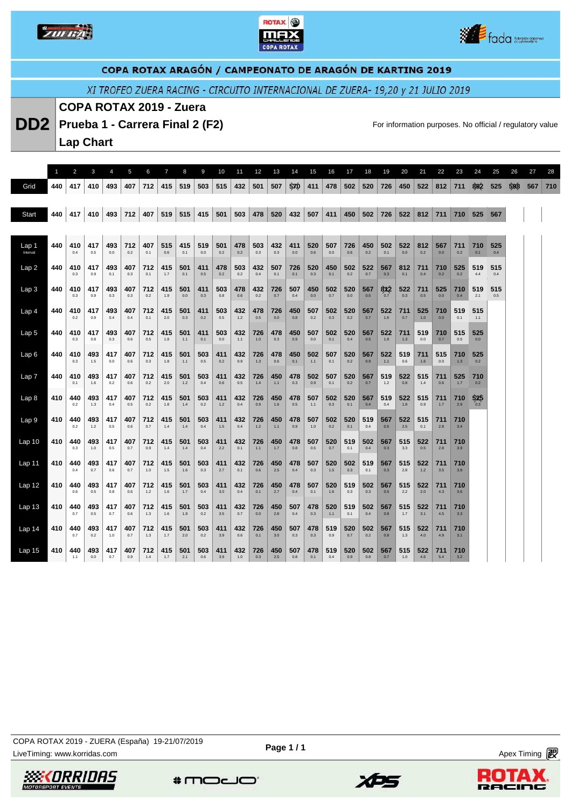





XI TROFEO ZUERA RACING - CIRCUITO INTERNACIONAL DE ZUERA- 19,20 y 21 JULIO 2019

#### **COPA ROTAX 2019 - Zuera**

**DD2** Prueba 1 - Carrera Final 2 (F2) **For information purposes. No official / regulatory value** 

**Lap Chart** 

|                   |     | 2          | 3          | 4          | 5          | 6          | $\overline{7}$ | 8          | 9          | 10         | 11         | 12         | 13         | 14         | 15         | 16         | 17         | 18         | 19         | 20         | 21           | 22         | 23           | 24         | 25         | 26  | 27  | 28  |
|-------------------|-----|------------|------------|------------|------------|------------|----------------|------------|------------|------------|------------|------------|------------|------------|------------|------------|------------|------------|------------|------------|--------------|------------|--------------|------------|------------|-----|-----|-----|
| Grid              | 440 | 417        | 410        | 493        | 407        | 712        | 415            | 519        | 503        | 515        | 432        | 501        | 507        | 5x0        | 411        | 478        | 502        | 520        | 726        | 450        | 522          | 812        | 711          | 802        | 525        | 598 | 567 | 710 |
|                   |     |            |            |            |            |            |                |            |            |            |            |            |            |            |            |            |            |            |            |            |              |            |              |            |            |     |     |     |
| Start             | 440 | 417        | 410        | 493        | 712        | 407        | 519            | 515        | 415        | 501        | 503        | 478        | 520        | 432        | 507        | 411        | 450        | 502        | 726        | 522        | 812          | 711        | 710          | 525        | 567        |     |     |     |
|                   |     |            |            |            |            |            |                |            |            |            |            |            |            |            |            |            |            |            |            |            |              |            |              |            |            |     |     |     |
| Lap 1<br>Interval | 440 | 410<br>0.4 | 417<br>0.5 | 493<br>0.0 | 712<br>0.2 | 407<br>0.1 | 515<br>0.6     | 415<br>0.1 | 519<br>0.0 | 501<br>0.2 | 478<br>0.2 | 503<br>0.3 | 432<br>0.3 | 411<br>0.0 | 520<br>0.6 | 507<br>0.0 | 726<br>0.6 | 450<br>0.2 | 502<br>0.1 | 522<br>0.0 | 812<br>0.2   | 567<br>0.0 | 711<br>0.2   | 710<br>0.1 | 525<br>0.4 |     |     |     |
| Lap2              | 440 | 410<br>0.3 | 417<br>0.9 | 493<br>0.1 | 407<br>0.3 | 712<br>0.1 | 415<br>1.7     | 501<br>0.1 | 411<br>0.5 | 478<br>0.2 | 503<br>0.2 | 432<br>0.4 | 507<br>0.1 | 726<br>0.1 | 520<br>0.3 | 450<br>0.1 | 502<br>0.2 | 522<br>0.7 | 567<br>0.3 | 812<br>0.1 | 711<br>0.4   | 710<br>0.2 | 525<br>0.2   | 519<br>4.4 | 515<br>0.4 |     |     |     |
| Lap <sub>3</sub>  | 440 | 410<br>0.3 | 417<br>0.9 | 493<br>0.3 | 407<br>0.3 | 712<br>0.2 | 415<br>1.9     | 501<br>0.0 | 411<br>0.3 | 503<br>0.8 | 478<br>0.6 | 432<br>0.2 | 726<br>0.7 | 507<br>0.4 | 450<br>0.0 | 502<br>0.7 | 520<br>0.0 | 567<br>0.5 | 8X2<br>0.7 | 522<br>0.3 | 711<br>0.5   | 525<br>0.0 | 710<br>0.4   | 519<br>2.1 | 515<br>0.5 |     |     |     |
| Lap <sub>4</sub>  | 440 | 410<br>0.2 | 417<br>0.9 | 493<br>0.4 | 407<br>0.4 | 712<br>0.1 | 415<br>2.0     | 501<br>0.3 | 411<br>0.2 | 503<br>0.5 | 432<br>1.2 | 478<br>0.5 | 726<br>0.0 | 450<br>0.8 | 507<br>0.2 | 502<br>0.3 | 520<br>0.2 | 567<br>0.7 | 522<br>1.6 | 711<br>0.7 | 525<br>1.0   | 710<br>0.0 | 519<br>0.1   | 515<br>1.1 |            |     |     |     |
| Lap <sub>5</sub>  | 440 | 410<br>0.3 | 417<br>0.8 | 493<br>0.3 | 407<br>0.6 | 712<br>0.5 | 415<br>1.8     | 501<br>1.1 | 411<br>0.1 | 503<br>0.0 | 432<br>1.1 | 726<br>1.0 | 478<br>0.3 | 450<br>0.9 | 507<br>0.0 | 502<br>0.1 | 520<br>0.4 | 567<br>0.5 | 522<br>18  | 711<br>1.3 | 519<br>0.0   | 710<br>0.7 | 515<br>0.5   | 525<br>0.0 |            |     |     |     |
| Lap6              | 440 | 410<br>0.3 | 493<br>1.5 | 417<br>0.0 | 407<br>0.6 | 712<br>0.3 | 415<br>1.8     | 501<br>1.1 | 503<br>0.5 | 411<br>0.2 | 432<br>0.9 | 726<br>1.3 | 478<br>0.6 | 450<br>0.1 | 502<br>1.1 | 507<br>0.1 | 520<br>0.2 | 567<br>0.9 | 522<br>1.1 | 519<br>0.6 | 711<br>1.6   | 515<br>0.0 | 710<br>1.3   | 525<br>0.2 |            |     |     |     |
| Lap <sub>7</sub>  | 440 | 410<br>0.1 | 493<br>1.6 | 417<br>0.2 | 407<br>0.6 | 712<br>0.2 | 415<br>2.0     | 501<br>1.2 | 503<br>0.4 | 411<br>0.6 | 432<br>0.5 | 726<br>1.4 | 450<br>1.1 | 478<br>0.3 | 502<br>0.9 | 507<br>0.1 | 520<br>0.2 | 567<br>0.7 | 519<br>1.2 | 522<br>0.8 | 515<br>1.4   | 711<br>0.6 | 525<br>$1.7$ | 710<br>0.2 |            |     |     |     |
| Lap <sub>8</sub>  | 410 | 440<br>0.2 | 493<br>1.3 | 417<br>0.4 | 407<br>0.5 | 712<br>0.2 | 415<br>1.8     | 501<br>1.4 | 503<br>0.2 | 411<br>1.2 | 432<br>0.4 | 726<br>0.9 | 450<br>1.6 | 478<br>0.5 | 507<br>1.1 | 502<br>0.3 | 520<br>0.1 | 567<br>0.4 | 519<br>0.4 | 522<br>1.8 | 515<br>0.9   | 711<br>1.7 | 710<br>2.9   | 525<br>0.3 |            |     |     |     |
| Lap <sub>9</sub>  | 410 | 440<br>0.2 | 493<br>1.2 | 417<br>0.5 | 407<br>0.6 | 712<br>0.7 | 415<br>1.4     | 501<br>1.4 | 503<br>0.4 | 411<br>1.5 | 432<br>0.4 | 726<br>1.2 | 450<br>1.1 | 478<br>0.9 | 507<br>1.0 | 502<br>0.2 | 520<br>0.1 | 519<br>0.4 | 567<br>0.5 | 522<br>2.5 | 515<br>0.1   | 711<br>2.8 | 710<br>3.4   |            |            |     |     |     |
| Lap <sub>10</sub> | 410 | 440<br>0.3 | 493<br>1.0 | 417<br>0.5 | 407<br>0.7 | 712<br>0.9 | 415<br>1.4     | 501<br>1.4 | 503<br>0.4 | 411<br>2.2 | 432<br>0.1 | 726<br>1.1 | 450<br>1.7 | 478<br>0.8 | 507<br>0.5 | 520<br>0.7 | 519<br>0.1 | 502<br>0.4 | 567<br>0.3 | 515<br>3.3 | 522<br>0.5   | 711<br>2.8 | 710<br>3.9   |            |            |     |     |     |
| Lap <sub>11</sub> | 410 | 440<br>0.4 | 493<br>0.7 | 417<br>0.6 | 407<br>0.7 | 712<br>1.0 | 415<br>1.5     | 501<br>1.6 | 503<br>0.3 | 411<br>2.7 | 432<br>0.1 | 726<br>0.6 | 450<br>2.5 | 478<br>0.4 | 507<br>0.3 | 520<br>1.5 | 502<br>0.3 | 519<br>0.1 | 567<br>0.3 | 515<br>2.8 | 522<br>$1.2$ | 711<br>3.5 | 710<br>3.8   |            |            |     |     |     |
| Lap <sub>12</sub> | 410 | 440<br>0.6 | 493<br>0.5 | 417<br>0.8 | 407<br>0.6 | 712<br>1.2 | 415<br>1.6     | 501<br>1.7 | 503<br>0.4 | 411<br>3.0 | 432<br>0.4 | 726<br>0.1 | 450<br>2.7 | 478<br>0.4 | 507<br>0.1 | 520<br>1.6 | 519<br>0.3 | 502<br>0.3 | 567<br>0.5 | 515<br>2.2 | 522<br>2.0   | 711<br>4.3 | 710<br>3.6   |            |            |     |     |     |
| Lap <sub>13</sub> | 410 | 440<br>0.7 | 493<br>0.5 | 417<br>0.7 | 407<br>0.6 | 712<br>1.3 | 415<br>1.6     | 501<br>1.9 | 503<br>0.2 | 411<br>3.5 | 432<br>0.7 | 726<br>0.0 | 450<br>2.8 | 507<br>0.4 | 478<br>0.3 | 520<br>1.1 | 519<br>0.1 | 502<br>0.4 | 567<br>0.8 | 515<br>1.7 | 522<br>3.1   | 711<br>4.5 | 710<br>3.3   |            |            |     |     |     |
| Lap <sub>14</sub> | 410 | 440<br>0.7 | 493<br>0.2 | 417<br>1.0 | 407<br>0.7 | 712<br>1.3 | 415<br>1.7     | 501<br>2.0 | 503<br>0.2 | 411<br>3.9 | 432<br>0.6 | 726<br>0.1 | 450<br>3.0 | 507<br>0.3 | 478<br>0.3 | 519<br>0.9 | 520<br>0.7 | 502<br>0.2 | 567<br>0.8 | 515<br>1.3 | 522<br>4.0   | 711<br>4.9 | 710<br>3.1   |            |            |     |     |     |
| Lap 15            | 410 | 440<br>1.1 | 493<br>0.0 | 417<br>0.7 | 407<br>0.9 | 712<br>1.4 | 415<br>1.7     | 501<br>2.1 | 503<br>0.6 | 411<br>3.9 | 432<br>1.0 | 726<br>0.3 | 450<br>2.5 | 507<br>0.8 | 478<br>0.1 | 519<br>0.4 | 520<br>0.9 | 502<br>0.8 | 567<br>0.7 | 515<br>1.0 | 522<br>4.6   | 711<br>5.4 | 710<br>3.2   |            |            |     |     |     |

*SSEKORRIDAS* 

 $*$ modo

XPS



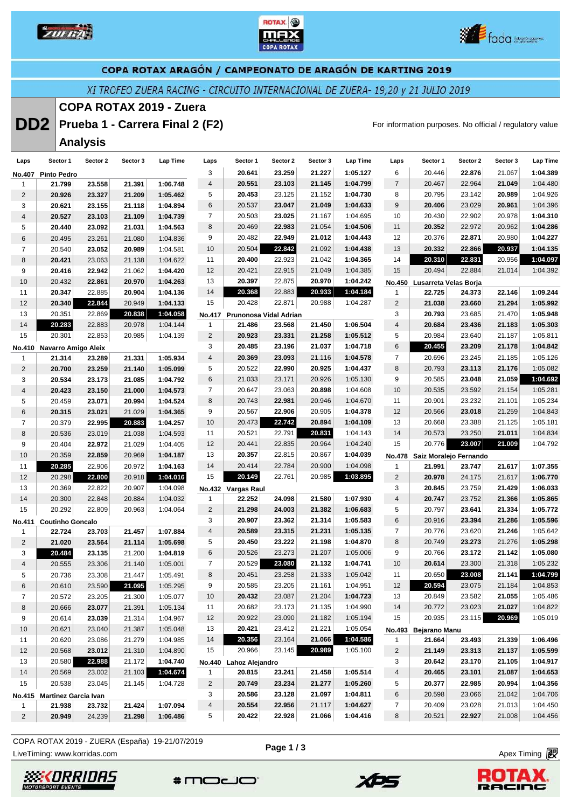





XI TROFEO ZUERA RACING - CIRCUITO INTERNACIONAL DE ZUERA- 19,20 y 21 JULIO 2019

#### **COPA ROTAX 2019 - Zuera**

**DD2** Prueba 1 - Carrera Final 2 (F2) **For information purposes. No official / regulatory value** 

# **Analysis**

| Laps            | Sector 1                    | Sector 2 | Sector 3 | Lap Time | Laps           | Sector 1               | Sector 2 | Sector 3 | Lap Time | Laps                    | Sector 1                      | Sector 2 | Sector 3 | Lap Time |
|-----------------|-----------------------------|----------|----------|----------|----------------|------------------------|----------|----------|----------|-------------------------|-------------------------------|----------|----------|----------|
|                 | No.407 Pinto Pedro          |          |          |          | 3              | 20.641                 | 23.259   | 21.227   | 1:05.127 | 6                       | 20.446                        | 22.876   | 21.067   | 1:04.389 |
| 1               | 21.799                      | 23.558   | 21.391   | 1:06.748 | 4              | 20.551                 | 23.103   | 21.145   | 1:04.799 | $\overline{7}$          | 20.467                        | 22.964   | 21.049   | 1:04.480 |
| $\overline{c}$  | 20.926                      | 23.327   | 21.209   | 1:05.462 | 5              | 20.453                 | 23.125   | 21.152   | 1:04.730 | 8                       | 20.795                        | 23.142   | 20.989   | 1:04.926 |
| 3               | 20.621                      | 23.155   | 21.118   | 1:04.894 | 6              | 20.537                 | 23.047   | 21.049   | 1:04.633 | 9                       | 20.406                        | 23.029   | 20.961   | 1:04.396 |
| 4               | 20.527                      | 23.103   | 21.109   | 1:04.739 | $\overline{7}$ | 20.503                 | 23.025   | 21.167   | 1:04.695 | 10                      | 20.430                        | 22.902   | 20.978   | 1:04.310 |
| 5               | 20.440                      | 23.092   | 21.031   | 1:04.563 | 8              | 20.469                 | 22.983   | 21.054   | 1:04.506 | 11                      | 20.352                        | 22.972   | 20.962   | 1:04.286 |
| 6               | 20.495                      | 23.261   | 21.080   | 1:04.836 | 9              | 20.482                 | 22.949   | 21.012   | 1:04.443 | 12                      | 20.376                        | 22.871   | 20.980   | 1:04.227 |
| 7               | 20.540                      | 23.052   | 20.989   | 1:04.581 | 10             | 20.504                 | 22.842   | 21.092   | 1:04.438 | 13                      | 20.332                        | 22.866   | 20.937   | 1:04.135 |
| 8               | 20.421                      | 23.063   | 21.138   | 1:04.622 | 11             | 20.400                 | 22.923   | 21.042   | 1:04.365 | 14                      | 20.310                        | 22.831   | 20.956   | 1:04.097 |
| 9               | 20.416                      | 22.942   | 21.062   | 1:04.420 | 12             | 20.421                 | 22.915   | 21.049   | 1:04.385 | 15                      | 20.494                        | 22.884   | 21.014   | 1:04.392 |
| 10              | 20.432                      | 22.861   | 20.970   | 1:04.263 | 13             | 20.397                 | 22.875   | 20.970   | 1:04.242 |                         | No.450 Lusarreta Velas Borja  |          |          |          |
| 11              | 20.347                      | 22.885   | 20.904   | 1:04.136 | 14             | 20.368                 | 22.883   | 20.933   | 1:04.184 | 1                       | 22.725                        | 24.373   | 22.146   | 1:09.244 |
| 12              | 20.340                      | 22.844   | 20.949   | 1:04.133 | 15             | 20.428                 | 22.871   | 20.988   | 1:04.287 | $\overline{c}$          | 21.038                        | 23.660   | 21.294   | 1:05.992 |
| 13              | 20.351                      | 22.869   | 20.838   | 1:04.058 | <b>No.417</b>  | Prunonosa Vidal Adrian |          |          |          | 3                       | 20.793                        | 23.685   | 21.470   | 1:05.948 |
| 14              | 20.283                      | 22.883   | 20.978   | 1:04.144 | $\mathbf{1}$   | 21.486                 | 23.568   | 21.450   | 1:06.504 | $\overline{\mathbf{4}}$ | 20.684                        | 23.436   | 21.183   | 1:05.303 |
| 15              | 20.301                      | 22.853   | 20.985   | 1:04.139 | $\overline{2}$ | 20.923                 | 23.331   | 21.258   | 1:05.512 | 5                       | 20.984                        | 23.640   | 21.187   | 1:05.811 |
|                 | No.410 Navarro Amigo Aleix  |          |          |          | 3              | 20.485                 | 23.196   | 21.037   | 1:04.718 | 6                       | 20.455                        | 23.209   | 21.178   | 1:04.842 |
| 1               | 21.314                      | 23.289   | 21.331   | 1:05.934 | 4              | 20.369                 | 23.093   | 21.116   | 1:04.578 | $\overline{7}$          | 20.696                        | 23.245   | 21.185   | 1:05.126 |
| $\overline{2}$  | 20.700                      | 23.259   | 21.140   | 1:05.099 | 5              | 20.522                 | 22.990   | 20.925   | 1:04.437 | 8                       | 20.793                        | 23.113   | 21.176   | 1:05.082 |
| 3               | 20.534                      | 23.173   | 21.085   | 1:04.792 | 6              | 21.033                 | 23.171   | 20.926   | 1:05.130 | 9                       | 20.585                        | 23.048   | 21.059   | 1:04.692 |
| $\overline{4}$  | 20.423                      | 23.150   | 21.000   | 1:04.573 | 7              | 20.647                 | 23.063   | 20.898   | 1:04.608 | 10                      | 20.535                        | 23.592   | 21.154   | 1:05.281 |
| 5               | 20.459                      | 23.071   | 20.994   | 1:04.524 | 8              | 20.743                 | 22.981   | 20.946   | 1:04.670 | 11                      | 20.901                        | 23.232   | 21.101   | 1:05.234 |
| 6               | 20.315                      | 23.021   | 21.029   | 1:04.365 | 9              | 20.567                 | 22.906   | 20.905   | 1:04.378 | 12                      | 20.566                        | 23.018   | 21.259   | 1:04.843 |
| $\overline{7}$  | 20.379                      | 22.995   | 20.883   | 1:04.257 | 10             | 20.473                 | 22.742   | 20.894   | 1:04.109 | 13                      | 20.668                        | 23.388   | 21.125   | 1:05.181 |
| 8               | 20.536                      | 23.019   | 21.038   | 1:04.593 | 11             | 20.521                 | 22.791   | 20.831   | 1:04.143 | 14                      | 20.573                        | 23.250   | 21.011   | 1:04.834 |
| 9               | 20.404                      | 22.972   | 21.029   | 1:04.405 | 12             | 20.441                 | 22.835   | 20.964   | 1:04.240 | 15                      | 20.776                        | 23.007   | 21.009   | 1:04.792 |
| 10              | 20.359                      | 22.859   | 20.969   | 1:04.187 | 13             | 20.357                 | 22.815   | 20.867   | 1:04.039 |                         | No.478 Saiz Moralejo Fernando |          |          |          |
| 11              | 20.285                      | 22.906   | 20.972   | 1:04.163 | 14             | 20.414                 | 22.784   | 20.900   | 1:04.098 | 1                       | 21.991                        | 23.747   | 21.617   | 1:07.355 |
| 12              | 20.298                      | 22.800   | 20.918   | 1:04.016 | 15             | 20.149                 | 22.761   | 20.985   | 1:03.895 | $\overline{c}$          | 20.978                        | 24.175   | 21.617   | 1:06.770 |
| 13              | 20.369                      | 22.822   | 20.907   | 1:04.098 |                | No.432 Vargas Raul     |          |          |          | 3                       | 20.845                        | 23.759   | 21.429   | 1:06.033 |
| 14              | 20.300                      | 22.848   | 20.884   | 1:04.032 | 1              | 22.252                 | 24.098   | 21.580   | 1:07.930 | 4                       | 20.747                        | 23.752   | 21.366   | 1:05.865 |
| 15              | 20.292                      | 22.809   | 20.963   | 1:04.064 | 2              | 21.298                 | 24.003   | 21.382   | 1:06.683 | 5                       | 20.797                        | 23.641   | 21.334   | 1:05.772 |
| <b>No.411</b>   | <b>Coutinho Goncalo</b>     |          |          |          | 3              | 20.907                 | 23.362   | 21.314   | 1:05.583 | 6                       | 20.916                        | 23.394   | 21.286   | 1:05.596 |
| 1               | 22.724                      | 23.703   | 21.457   | 1:07.884 | 4              | 20.589                 | 23.315   | 21.231   | 1:05.135 | 7                       | 20.776                        | 23.620   | 21.246   | 1:05.642 |
| $\overline{2}$  | 21.020                      | 23.564   | 21.114   | 1:05.698 | 5              | 20.450                 | 23.222   | 21.198   | 1:04.870 | 8                       | 20.749                        | 23.273   | 21.276   | 1:05.298 |
| 3               | 20.484                      | 23.135   | 21.200   | 1:04.819 | 6              | 20.526                 | 23.273   | 21.207   | 1:05.006 | 9                       | 20.766                        | 23.172   | 21.142   | 1:05.080 |
| 4               | 20.555                      | 23.306   | 21.140   | 1:05.001 | $\overline{7}$ | 20.529                 | 23.080   | 21.132   | 1:04.741 | 10                      | 20.614                        | 23.300   | 21.318   | 1:05.232 |
| 5               | 20.736                      | 23.308   | 21.447   | 1:05.491 | 8              | 20.451                 | 23.258   | 21.333   | 1:05.042 | 11                      | 20.650                        | 23.008   | 21.141   | 1:04.799 |
| 6               | 20.610                      | 23.590   | 21.095   | 1:05.295 | 9              | 20.585                 | 23.205   | 21.161   | 1:04.951 | 12                      | 20.594                        | 23.075   | 21.184   | 1:04.853 |
| $\overline{7}$  | 20.572                      | 23.205   | 21.300   | 1:05.077 | 10             | 20.432                 | 23.087   | 21.204   | 1:04.723 | 13                      | 20.849                        | 23.582   | 21.055   | 1:05.486 |
| 8               | 20.666                      | 23.077   | 21.391   | 1:05.134 | 11             | 20.682                 | 23.173   | 21.135   | 1:04.990 | 14                      | 20.772                        | 23.023   | 21.027   | 1:04.822 |
| 9               | 20.614                      | 23.039   | 21.314   | 1:04.967 | 12             | 20.922                 | 23.090   | 21.182   | 1:05.194 | 15                      | 20.935                        | 23.115   | 20.969   | 1:05.019 |
| 10 <sup>°</sup> | 20.621                      | 23.040   | 21.387   | 1:05.048 | 13             | 20.421                 | 23.412   | 21.221   | 1:05.054 |                         | No.493 Bejarano Manu          |          |          |          |
| 11              | 20.620                      | 23.086   | 21.279   | 1:04.985 | 14             | 20.356                 | 23.164   | 21.066   | 1:04.586 | $\mathbf{1}$            | 21.664                        | 23.493   | 21.339   | 1:06.496 |
| 12              | 20.568                      | 23.012   | 21.310   | 1:04.890 | 15             | 20.966                 | 23.145   | 20.989   | 1:05.100 | $\overline{c}$          | 21.149                        | 23.313   | 21.137   | 1:05.599 |
| 13              | 20.580                      | 22.988   | 21.172   | 1:04.740 |                | No.440 Lahoz Alejandro |          |          |          | 3                       | 20.642                        | 23.170   | 21.105   | 1:04.917 |
| 14              | 20.569                      | 23.002   | 21.103   | 1:04.674 | $\mathbf{1}$   | 20.815                 | 23.241   | 21.458   | 1:05.514 | 4                       | 20.465                        | 23.101   | 21.087   | 1:04.653 |
| 15              | 20.538                      | 23.045   | 21.145   | 1:04.728 | $\overline{2}$ | 20.749                 | 23.234   | 21.277   | 1:05.260 | 5                       | 20.377                        | 22.985   | 20.994   | 1:04.356 |
|                 | No.415 Martinez Garcia Ivan |          |          |          | 3              | 20.586                 | 23.128   | 21.097   | 1:04.811 | 6                       | 20.598                        | 23.066   | 21.042   | 1:04.706 |
| 1               | 21.938                      | 23.732   | 21.424   | 1:07.094 | 4              | 20.554                 | 22.956   | 21.117   | 1:04.627 | 7                       | 20.409                        | 23.028   | 21.013   | 1:04.450 |
| $\overline{2}$  | 20.949                      | 24.239   | 21.298   | 1:06.486 | 5              | 20.422                 | 22.928   | 21.066   | 1:04.416 | 8                       | 20.521                        | 22.927   | 21.008   | 1:04.456 |

**Page 1 / 3**

COPA ROTAX 2019 - ZUERA (España) 19-21/07/2019

LiveTiming: www.korridas.com **Apex Timing** and Apex Timing and Apex Timing and Apex Timing and Apex Timing and Apex Timing and Apex Timing and Apex Timing and Apex Timing and Apex Timing and Apex Timing and Apex Timing an

*SSEKORRIDAS* 







**BACIOG**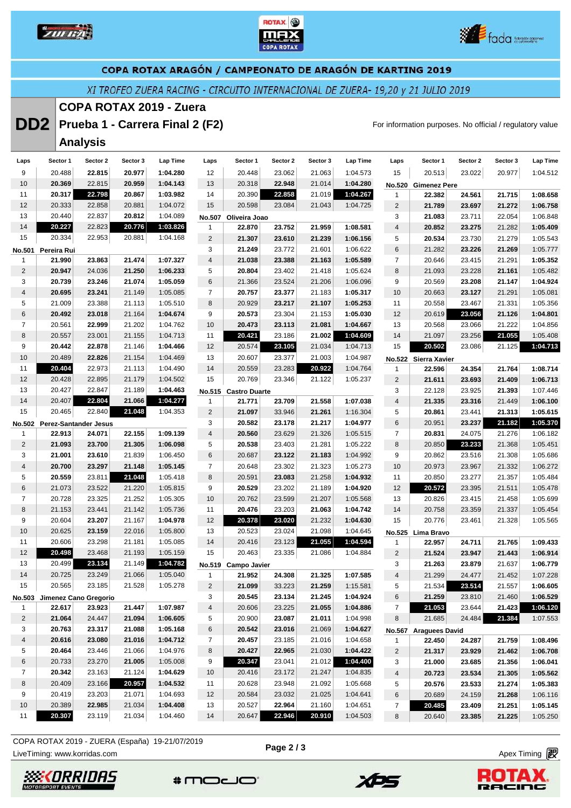





XI TROFEO ZUERA RACING - CIRCUITO INTERNACIONAL DE ZUERA- 19,20 y 21 JULIO 2019

#### **COPA ROTAX 2019 - Zuera**

**DD2** Prueba 1 - Carrera Final 2 (F2) **For information purposes. No official / regulatory value** 

## **Analysis**

| Laps                    | Sector 1                               | Sector 2 | Sector 3 | Lap Time | Laps           | Sector 1             | Sector 2 | Sector 3 | Lap Time | Laps                    | Sector 1              | Sector 2 | Sector 3 | Lap Time |
|-------------------------|----------------------------------------|----------|----------|----------|----------------|----------------------|----------|----------|----------|-------------------------|-----------------------|----------|----------|----------|
| 9                       | 20.488                                 | 22.815   | 20.977   | 1:04.280 | 12             | 20.448               | 23.062   | 21.063   | 1:04.573 | 15                      | 20.513                | 23.022   | 20.977   | 1:04.512 |
| 10                      | 20.369                                 | 22.815   | 20.959   | 1:04.143 | 13             | 20.318               | 22.948   | 21.014   | 1:04.280 | <b>No.520</b>           | <b>Gimenez Pere</b>   |          |          |          |
| 11                      | 20.317                                 | 22.798   | 20.867   | 1:03.982 | 14             | 20.390               | 22.858   | 21.019   | 1:04.267 | $\mathbf{1}$            | 22.382                | 24.561   | 21.715   | 1:08.658 |
| 12                      | 20.333                                 | 22.858   | 20.881   | 1:04.072 | 15             | 20.598               | 23.084   | 21.043   | 1:04.725 | $\mathbf 2$             | 21.789                | 23.697   | 21.272   | 1:06.758 |
| 13                      | 20.440                                 | 22.837   | 20.812   | 1:04.089 |                | No.507 Oliveira Joao |          |          |          | 3                       | 21.083                | 23.711   | 22.054   | 1:06.848 |
| 14                      | 20.227                                 | 22.823   | 20.776   | 1:03.826 | $\mathbf{1}$   | 22.870               | 23.752   | 21.959   | 1:08.581 | $\overline{\mathbf{4}}$ | 20.852                | 23.275   | 21.282   | 1:05.409 |
| 15                      | 20.334                                 | 22.953   | 20.881   | 1:04.168 | $\overline{c}$ | 21.307               | 23.610   | 21.239   | 1:06.156 | 5                       | 20.534                | 23.730   | 21.279   | 1:05.543 |
| No.501                  | Pereira Rui                            |          |          |          | 3              | 21.249               | 23.772   | 21.601   | 1:06.622 | 6                       | 21.282                | 23.226   | 21.269   | 1:05.777 |
| $\mathbf{1}$            | 21.990                                 | 23.863   | 21.474   | 1:07.327 | 4              | 21.038               | 23.388   | 21.163   | 1:05.589 | $\overline{7}$          | 20.646                | 23.415   | 21.291   | 1:05.352 |
| $\overline{2}$          | 20.947                                 | 24.036   | 21.250   | 1:06.233 | 5              | 20.804               | 23.402   | 21.418   | 1:05.624 | 8                       | 21.093                | 23.228   | 21.161   | 1:05.482 |
| 3                       | 20.739                                 | 23.246   | 21.074   | 1:05.059 | 6              | 21.366               | 23.524   | 21.206   | 1:06.096 | 9                       | 20.569                | 23.208   | 21.147   | 1:04.924 |
| $\overline{\mathbf{4}}$ | 20.695                                 | 23.241   | 21.149   | 1:05.085 | $\overline{7}$ | 20.757               | 23.377   | 21.183   | 1:05.317 | 10                      | 20.663                | 23.127   | 21.291   | 1:05.081 |
| 5                       | 21.009                                 | 23.388   | 21.113   | 1:05.510 | 8              | 20.929               | 23.217   | 21.107   | 1:05.253 | 11                      | 20.558                | 23.467   | 21.331   | 1:05.356 |
| 6                       | 20.492                                 | 23.018   | 21.164   | 1:04.674 | 9              | 20.573               | 23.304   | 21.153   | 1:05.030 | 12                      | 20.619                | 23.056   | 21.126   | 1:04.801 |
| $\overline{7}$          | 20.561                                 | 22.999   | 21.202   | 1:04.762 | 10             | 20.473               | 23.113   | 21.081   | 1:04.667 | 13                      | 20.568                | 23.066   | 21.222   | 1:04.856 |
| 8                       | 20.557                                 | 23.001   | 21.155   | 1:04.713 | 11             | 20.421               | 23.186   | 21.002   | 1:04.609 | 14                      | 21.097                | 23.256   | 21.055   | 1:05.408 |
| 9                       | 20.442                                 | 22.878   | 21.146   | 1:04.466 | 12             | 20.574               | 23.105   | 21.034   | 1:04.713 | 15                      | 20.502                | 23.086   | 21.125   | 1:04.713 |
| 10                      | 20.489                                 | 22.826   | 21.154   | 1:04.469 | 13             | 20.607               | 23.377   | 21.003   | 1:04.987 |                         | No.522 Sierra Xavier  |          |          |          |
| 11                      | 20.404                                 | 22.973   | 21.113   | 1:04.490 | 14             | 20.559               | 23.283   | 20.922   | 1:04.764 | 1                       | 22.596                | 24.354   | 21.764   | 1:08.714 |
| 12                      | 20.428                                 | 22.895   | 21.179   | 1:04.502 | 15             | 20.769               | 23.346   | 21.122   | 1:05.237 | $\overline{2}$          | 21.611                | 23.693   | 21.409   | 1:06.713 |
| 13                      | 20.427                                 | 22.847   | 21.189   | 1:04.463 | No.515         | <b>Castro Duarte</b> |          |          |          | 3                       | 22.128                | 23.925   | 21.393   | 1:07.446 |
| 14                      | 20.407                                 | 22.804   | 21.066   | 1:04.277 | $\mathbf{1}$   | 21.771               | 23.709   | 21.558   | 1:07.038 | 4                       | 21.335                | 23.316   | 21.449   | 1:06.100 |
| 15                      | 20.465                                 | 22.840   | 21.048   | 1:04.353 | $\overline{c}$ | 21.097               | 33.946   | 21.261   | 1:16.304 | $\sqrt{5}$              | 20.861                | 23.441   | 21.313   | 1:05.615 |
|                         |                                        |          |          |          | 3              | 20.582               | 23.178   | 21.217   | 1:04.977 | 6                       | 20.951                | 23.237   | 21.182   | 1:05.370 |
|                         | No.502 Perez-Santander Jesus<br>22.913 | 24.071   | 22.155   | 1:09.139 | 4              | 20.560               | 23.629   | 21.326   | 1:05.515 | $\overline{7}$          | 20.831                | 24.075   | 21.276   | 1:06.182 |
| 1<br>2                  | 21.093                                 | 23.700   |          |          |                |                      |          |          |          |                         |                       |          |          |          |
|                         |                                        |          | 21.305   | 1:06.098 | 5              | 20.538               | 23.403   | 21.281   | 1:05.222 | 8                       | 20.850                | 23.233   | 21.368   | 1:05.451 |
| 3                       | 21.001                                 | 23.610   | 21.839   | 1:06.450 | 6              | 20.687               | 23.122   | 21.183   | 1:04.992 | 9                       | 20.862                | 23.516   | 21.308   | 1:05.686 |
| 4                       | 20.700                                 | 23.297   | 21.148   | 1:05.145 | $\overline{7}$ | 20.648               | 23.302   | 21.323   | 1:05.273 | 10                      | 20.973                | 23.967   | 21.332   | 1:06.272 |
| 5                       | 20.559                                 | 23.811   | 21.048   | 1:05.418 | 8              | 20.591               | 23.083   | 21.258   | 1:04.932 | 11                      | 20.850                | 23.277   | 21.357   | 1:05.484 |
| 6                       | 21.073                                 | 23.522   | 21.220   | 1:05.815 | 9              | 20.529               | 23.202   | 21.189   | 1:04.920 | 12                      | 20.572                | 23.395   | 21.511   | 1:05.478 |
| $\overline{7}$          | 20.728                                 | 23.325   | 21.252   | 1:05.305 | 10             | 20.762               | 23.599   | 21.207   | 1:05.568 | 13                      | 20.826                | 23.415   | 21.458   | 1:05.699 |
| 8                       | 21.153                                 | 23.441   | 21.142   | 1:05.736 | 11             | 20.476               | 23.203   | 21.063   | 1:04.742 | 14                      | 20.758                | 23.359   | 21.337   | 1:05.454 |
| 9                       | 20.604                                 | 23.207   | 21.167   | 1:04.978 | 12             | 20.378               | 23.020   | 21.232   | 1:04.630 | 15                      | 20.776                | 23.461   | 21.328   | 1:05.565 |
| 10                      | 20.625                                 | 23.159   | 22.016   | 1:05.800 | 13             | 20.523               | 23.024   | 21.098   | 1:04.645 |                         | No.525 Lima Bravo     |          |          |          |
| 11                      | 20.606                                 | 23.298   | 21.181   | 1:05.085 | 14             | 20.416               | 23.123   | 21.055   | 1:04.594 | 1                       | 22.957                | 24.711   | 21.765   | 1:09.433 |
| 12                      | 20.498                                 | 23.468   | 21.193   | 1:05.159 | 15             | 20.463               | 23.335   | 21.086   | 1:04.884 | $\mathbf 2$             | 21.524                | 23.947   | 21.443   | 1:06.914 |
| 13                      | 20.499                                 | 23.134   | 21.149   | 1:04.782 |                | No.519 Campo Javier  |          |          |          | 3                       | 21.263                | 23.879   | 21.637   | 1:06.779 |
| 14                      | 20.725                                 | 23.249   | 21.066   | 1:05.040 | $\mathbf{1}$   | 21.952               | 24.308   | 21.325   | 1:07.585 | $\overline{4}$          | 21.299                | 24.477   | 21.452   | 1:07.228 |
| 15                      | 20.565                                 | 23.185   | 21.528   | 1:05.278 | $\overline{2}$ | 21.099               | 33.223   | 21.259   | 1:15.581 | 5                       | 21.534                | 23.514   | 21.557   | 1:06.605 |
|                         | No.503 Jimenez Cano Gregorio           |          |          |          | 3              | 20.545               | 23.134   | 21.245   | 1:04.924 | 6                       | 21.259                | 23.810   | 21.460   | 1:06.529 |
| -1                      | 22.617                                 | 23.923   | 21.447   | 1:07.987 | $\overline{4}$ | 20.606               | 23.225   | 21.055   | 1:04.886 | $\overline{7}$          | 21.053                | 23.644   | 21.423   | 1:06.120 |
| $\overline{2}$          | 21.064                                 | 24.447   | 21.094   | 1:06.605 | 5              | 20.900               | 23.087   | 21.011   | 1:04.998 | 8                       | 21.685                | 24.484   | 21.384   | 1:07.553 |
| 3                       | 20.763                                 | 23.317   | 21.088   | 1:05.168 | 6              | 20.542               | 23.016   | 21.069   | 1:04.627 | No.567                  | <b>Araguees David</b> |          |          |          |
| 4                       | 20.616                                 | 23.080   | 21.016   | 1:04.712 | $\overline{7}$ | 20.457               | 23.185   | 21.016   | 1:04.658 | $\mathbf{1}$            | 22.450                | 24.287   | 21.759   | 1:08.496 |
| 5                       | 20.464                                 | 23.446   | 21.066   | 1:04.976 | 8              | 20.427               | 22.965   | 21.030   | 1:04.422 | $\overline{2}$          | 21.317                | 23.929   | 21.462   | 1:06.708 |
| 6                       | 20.733                                 | 23.270   | 21.005   | 1:05.008 | 9              | 20.347               | 23.041   | 21.012   | 1:04.400 | 3                       | 21.000                | 23.685   | 21.356   | 1:06.041 |
| $\overline{7}$          | 20.342                                 | 23.163   | 21.124   | 1:04.629 | 10             | 20.416               | 23.172   | 21.247   | 1:04.835 | $\overline{4}$          | 20.723                | 23.534   | 21.305   | 1:05.562 |
| 8                       | 20.409                                 | 23.166   | 20.957   | 1:04.532 | 11             | 20.628               | 23.948   | 21.092   | 1:05.668 | 5                       | 20.576                | 23.533   | 21.274   | 1:05.383 |
| 9                       | 20.419                                 | 23.203   | 21.071   | 1:04.693 | 12             | 20.584               | 23.032   | 21.025   | 1:04.641 | 6                       | 20.689                | 24.159   | 21.268   | 1:06.116 |
| 10                      | 20.389                                 | 22.985   | 21.034   | 1:04.408 | 13             | 20.527               | 22.964   | 21.160   | 1:04.651 | $\overline{7}$          | 20.485                | 23.409   | 21.251   | 1:05.145 |
| 11                      | 20.307                                 | 23.119   | 21.034   | 1:04.460 | 14             | 20.647               | 22.946   | 20.910   | 1:04.503 | 8                       | 20.640                | 23.385   | 21.225   | 1:05.250 |

LiveTiming: www.korridas.com **Apex Timing** and Apex Timing and Apex Timing and Apex Timing and Apex Timing and Apex Timing and Apex Timing and Apex Timing and Apex Timing and Apex Timing and Apex Timing and Apex Timing an COPA ROTAX 2019 - ZUERA (España) 19-21/07/2019

**Page 2 / 3**







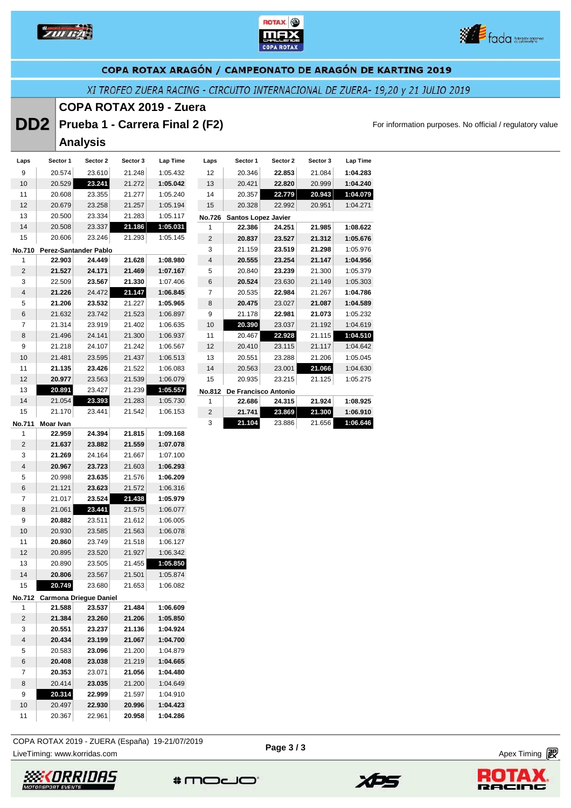

Laps Secto





#### COPA ROTAX ARAGÓN / CAMPEONATO DE ARAGÓN DE KARTING 2019

XI TROFEO ZUERA RACING - CIRCUITO INTERNACIONAL DE ZUERA- 19,20 y 21 JULIO 2019

#### **COPA ROTAX 2019 - Zuera**

**DD2** Prueba 1 - Carrera Final 2 (F2) **For information purposes. No official / regulatory value** 

**Analysis** 

| Laps           | Sector 1  | Sector 2                     | Sector 3 | Lap Time | Laps           | Sector 1                   | Sector 2             | Sector 3 | <b>Lap Time</b> |
|----------------|-----------|------------------------------|----------|----------|----------------|----------------------------|----------------------|----------|-----------------|
| 9              | 20.574    | 23.610                       | 21.248   | 1:05.432 | 12             | 20.346                     | 22.853               | 21.084   | 1:04.283        |
| 10             | 20.529    | 23.241                       | 21.272   | 1:05.042 | 13             | 20.421                     | 22.820               | 20.999   | 1:04.240        |
| 11             | 20.608    | 23.355                       | 21.277   | 1:05.240 | 14             | 20.357                     | 22.779               | 20.943   | 1:04.079        |
| 12             | 20.679    | 23.258                       | 21.257   | 1:05.194 | 15             | 20.328                     | 22.992               | 20.951   | 1:04.271        |
| 13             | 20.500    | 23.334                       | 21.283   | 1:05.117 | <b>No.726</b>  | <b>Santos Lopez Javier</b> |                      |          |                 |
| 14             | 20.508    | 23.337                       | 21.186   | 1:05.031 | 1              | 22.386                     | 24.251               | 21.985   | 1:08.622        |
| 15             | 20.606    | 23.246                       | 21.293   | 1:05.145 | $\overline{2}$ | 20.837                     | 23.527               | 21.312   | 1:05.676        |
| <b>No.710</b>  |           | <b>Perez-Santander Pablo</b> |          |          | 3              | 21.159                     | 23.519               | 21.298   | 1:05.976        |
| 1              | 22.903    | 24.449                       | 21.628   | 1:08.980 | $\overline{4}$ | 20.555                     | 23.254               | 21.147   | 1:04.956        |
| $\overline{2}$ | 21.527    | 24.171                       | 21.469   | 1:07.167 | 5              | 20.840                     | 23.239               | 21.300   | 1:05.379        |
| 3              | 22.509    | 23.567                       | 21.330   | 1:07.406 | 6              | 20.524                     | 23.630               | 21.149   | 1:05.303        |
| 4              | 21.226    | 24.472                       | 21.147   | 1:06.845 | 7              | 20.535                     | 22.984               | 21.267   | 1:04.786        |
| 5              | 21.206    | 23.532                       | 21.227   | 1:05.965 | 8              | 20.475                     | 23.027               | 21.087   | 1:04.589        |
| 6              | 21.632    | 23.742                       | 21.523   | 1:06.897 | 9              | 21.178                     | 22.981               | 21.073   | 1:05.232        |
| $\overline{7}$ | 21.314    | 23.919                       | 21.402   | 1:06.635 | 10             | 20.390                     | 23.037               | 21.192   | 1:04.619        |
| 8              | 21.496    | 24.141                       | 21.300   | 1:06.937 | 11             | 20.467                     | 22.928               | 21.115   | 1:04.510        |
| 9              | 21.218    | 24.107                       | 21.242   | 1:06.567 | 12             | 20.410                     | 23.115               | 21.117   | 1:04.642        |
| 10             | 21.481    | 23.595                       | 21.437   | 1:06.513 | 13             | 20.551                     | 23.288               | 21.206   | 1:05.045        |
| 11             | 21.135    | 23.426                       | 21.522   | 1:06.083 | 14             | 20.563                     | 23.001               | 21.066   | 1:04.630        |
| 12             | 20.977    | 23.563                       | 21.539   | 1:06.079 | 15             | 20.935                     | 23.215               | 21.125   | 1:05.275        |
| 13             | 20.891    | 23.427                       | 21.239   | 1:05.557 | <b>No.812</b>  |                            | De Francisco Antonio |          |                 |
| 14             | 21.054    | 23.393                       | 21.283   | 1:05.730 | 1              | 22.686                     | 24.315               | 21.924   | 1:08.925        |
| 15             | 21.170    | 23.441                       | 21.542   | 1:06.153 | $\overline{2}$ | 21.741                     | 23.869               | 21.300   | 1:06.910        |
| No.711         | Moar Ivan |                              |          |          | 3              | 21.104                     | 23.886               | 21.656   | 1:06.646        |

| <b>No.711</b>  | Moar Ivan |                               |        |          |
|----------------|-----------|-------------------------------|--------|----------|
| 1              | 22.959    | 24.394                        | 21.815 | 1:09.168 |
| $\overline{2}$ | 21.637    | 23.882                        | 21.559 | 1:07.078 |
| 3              | 21.269    | 24.164                        | 21.667 | 1:07.100 |
| $\overline{4}$ | 20.967    | 23.723                        | 21.603 | 1:06.293 |
| 5              | 20.998    | 23.635                        | 21.576 | 1:06.209 |
| 6              | 21.121    | 23.623                        | 21.572 | 1:06.316 |
| $\overline{7}$ | 21.017    | 23.524                        | 21.438 | 1:05.979 |
| 8              | 21.061    | 23.441                        | 21.575 | 1:06.077 |
| 9              | 20.882    | 23.511                        | 21.612 | 1:06.005 |
| 10             | 20.930    | 23.585                        | 21.563 | 1:06.078 |
| 11             | 20.860    | 23.749                        | 21.518 | 1:06.127 |
| 12             | 20.895    | 23.520                        | 21.927 | 1:06.342 |
| 13             | 20.890    | 23.505                        | 21.455 | 1:05.850 |
| 14             | 20.806    | 23.567                        | 21.501 | 1:05.874 |
| 15             | 20.749    | 23.680                        | 21.653 | 1:06.082 |
| <b>No.712</b>  |           | <b>Carmona Driegue Daniel</b> |        |          |
| 1              | 21.588    | 23.537                        | 21.484 | 1:06.609 |
| 2              | 21.384    | 23.260                        | 21.206 | 1:05.850 |
| 3              | 20.551    | 23.237                        | 21.136 | 1:04.924 |
| $\overline{4}$ | 20.434    | 23.199                        | 21.067 | 1:04.700 |
| 5              | 20.583    | 23.096                        | 21.200 | 1:04.879 |
| 6              | 20.408    | 23.038                        | 21.219 | 1:04.665 |
| 7              | 20.353    | 23.071                        | 21.056 | 1:04.480 |
| 8              | 20.414    | 23.035                        | 21.200 | 1:04.649 |
| 9              | 20.314    | 22.999                        | 21.597 | 1:04.910 |
| 10             | 20.497    | 22.930                        | 20.996 | 1:04.423 |

COPA ROTAX 2019 - ZUERA (España) 19-21/07/2019

20.367 22.961 **20.958 1:04.286**

LiveTiming: www.korridas.com **Apex Timing** <sub>1</sub> and the set of the set of the set of the set of the set of the set of the set of the set of the set of the set of the set of the set of the set of the set of the set of the s





XPS



 $*$ moco